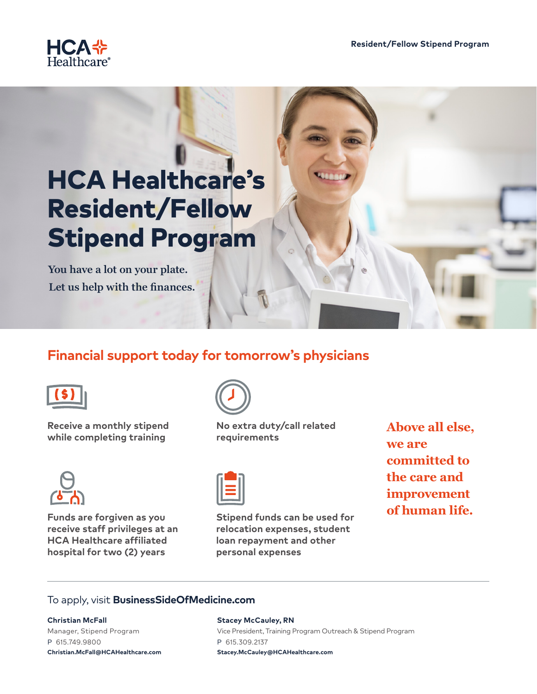

# HCA Healthcare's Resident/Fellow Stipend Program

**You have a lot on your plate. Let us help with the finances.**

# **Financial support today for tomorrow's physicians**



**Receive a monthly stipend while completing training**



**Funds are forgiven as you receive staff privileges at an HCA Healthcare affiliated hospital for two (2) years**



**No extra duty/call related requirements**



**Stipend funds can be used for relocation expenses, student loan repayment and other personal expenses**

**Above all else, we are committed to the care and improvement of human life.**

# To apply, visit **BusinessSideOfMedicine.com**

#### **Christian McFall**

Manager, Stipend Program P 615.749.9800 **Christian.McFall@HCAHealthcare.com**

#### **Stacey McCauley, RN**

Vice President, Training Program Outreach & Stipend Program P 615.309.2137 **Stacey.McCauley@HCAHealthcare.com**